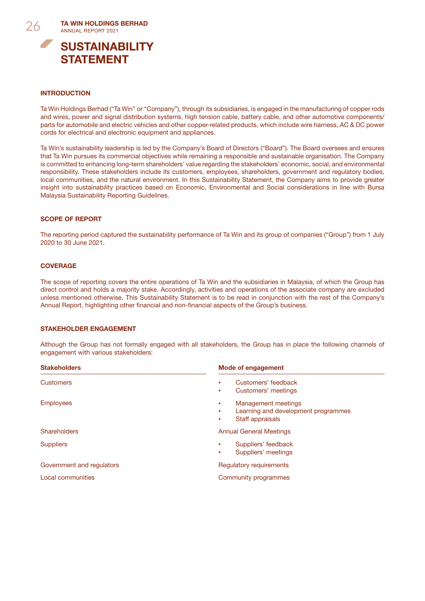

STATEMENT

## INTRODUCTION

Ta Win Holdings Berhad ("Ta Win" or "Company"), through its subsidiaries, is engaged in the manufacturing of copper rods and wires, power and signal distribution systems, high tension cable, battery cable, and other automotive components/ parts for automobile and electric vehicles and other copper-related products, which include wire harness, AC & DC power cords for electrical and electronic equipment and appliances.

Ta Win's sustainability leadership is led by the Company's Board of Directors ("Board"). The Board oversees and ensures that Ta Win pursues its commercial objectives while remaining a responsible and sustainable organisation. The Company is committed to enhancing long-term shareholders' value regarding the stakeholders' economic, social, and environmental responsibility. These stakeholders include its customers, employees, shareholders, government and regulatory bodies, local communities, and the natural environment. In this Sustainability Statement, the Company aims to provide greater insight into sustainability practices based on Economic, Environmental and Social considerations in line with Bursa Malaysia Sustainability Reporting Guidelines.

#### SCOPE OF REPORT

The reporting period captured the sustainability performance of Ta Win and its group of companies ("Group") from 1 July 2020 to 30 June 2021.

#### **COVERAGE**

The scope of reporting covers the entire operations of Ta Win and the subsidiaries in Malaysia, of which the Group has direct control and holds a majority stake. Accordingly, activities and operations of the associate company are excluded unless mentioned otherwise. This Sustainability Statement is to be read in conjunction with the rest of the Company's Annual Report, highlighting other financial and non-financial aspects of the Group's business.

#### STAKEHOLDER ENGAGEMENT

Although the Group has not formally engaged with all stakeholders, the Group has in place the following channels of engagement with various stakeholders:

| <b>Stakeholders</b>       | <b>Mode of engagement</b>                                                                            |  |
|---------------------------|------------------------------------------------------------------------------------------------------|--|
| <b>Customers</b>          | Customers' feedback<br>٠<br>Customers' meetings<br>٠                                                 |  |
| <b>Employees</b>          | <b>Management meetings</b><br>٠<br>Learning and development programmes<br>٠<br>Staff appraisals<br>٠ |  |
| <b>Shareholders</b>       | <b>Annual General Meetings</b>                                                                       |  |
| <b>Suppliers</b>          | Suppliers' feedback<br>٠<br>Suppliers' meetings<br>٠                                                 |  |
| Government and regulators | Regulatory requirements                                                                              |  |
| <b>Local communities</b>  | Community programmes                                                                                 |  |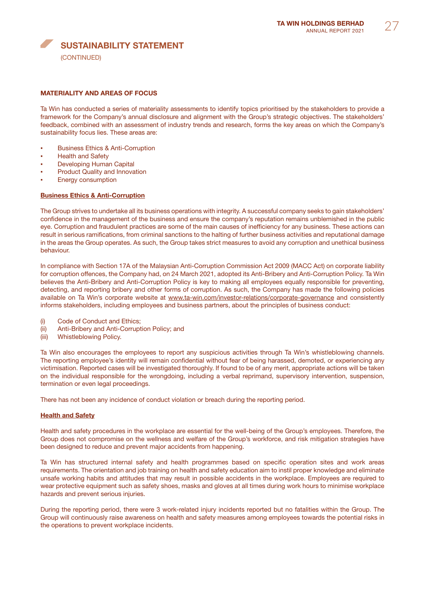

# MATERIALITY AND AREAS OF FOCUS

Ta Win has conducted a series of materiality assessments to identify topics prioritised by the stakeholders to provide a framework for the Company's annual disclosure and alignment with the Group's strategic objectives. The stakeholders' feedback, combined with an assessment of industry trends and research, forms the key areas on which the Company's sustainability focus lies. These areas are:

- **Business Ethics & Anti-Corruption**
- **Health and Safety**
- **Developing Human Capital**
- **Product Quality and Innovation**
- **Energy consumption**

#### Business Ethics & Anti-Corruption

The Group strives to undertake all its business operations with integrity. A successful company seeks to gain stakeholders' confidence in the management of the business and ensure the company's reputation remains unblemished in the public eye. Corruption and fraudulent practices are some of the main causes of inefficiency for any business. These actions can result in serious ramifications, from criminal sanctions to the halting of further business activities and reputational damage in the areas the Group operates. As such, the Group takes strict measures to avoid any corruption and unethical business behaviour.

In compliance with Section 17A of the Malaysian Anti-Corruption Commission Act 2009 (MACC Act) on corporate liability for corruption offences, the Company had, on 24 March 2021, adopted its Anti-Bribery and Anti-Corruption Policy. Ta Win believes the Anti-Bribery and Anti-Corruption Policy is key to making all employees equally responsible for preventing, detecting, and reporting bribery and other forms of corruption. As such, the Company has made the following policies available on Ta Win's corporate website at www.ta-win.com/investor-relations/corporate-governance and consistently informs stakeholders, including employees and business partners, about the principles of business conduct:

- (i) Code of Conduct and Ethics;
- (ii) Anti-Bribery and Anti-Corruption Policy; and
- (iii) Whistleblowing Policy.

Ta Win also encourages the employees to report any suspicious activities through Ta Win's whistleblowing channels. The reporting employee's identity will remain confidential without fear of being harassed, demoted, or experiencing any victimisation. Reported cases will be investigated thoroughly. If found to be of any merit, appropriate actions will be taken on the individual responsible for the wrongdoing, including a verbal reprimand, supervisory intervention, suspension, termination or even legal proceedings.

There has not been any incidence of conduct violation or breach during the reporting period.

## Health and Safety

Health and safety procedures in the workplace are essential for the well-being of the Group's employees. Therefore, the Group does not compromise on the wellness and welfare of the Group's workforce, and risk mitigation strategies have been designed to reduce and prevent major accidents from happening.

Ta Win has structured internal safety and health programmes based on specific operation sites and work areas requirements. The orientation and job training on health and safety education aim to instil proper knowledge and eliminate unsafe working habits and attitudes that may result in possible accidents in the workplace. Employees are required to wear protective equipment such as safety shoes, masks and gloves at all times during work hours to minimise workplace hazards and prevent serious injuries.

During the reporting period, there were 3 work-related injury incidents reported but no fatalities within the Group. The Group will continuously raise awareness on health and safety measures among employees towards the potential risks in the operations to prevent workplace incidents.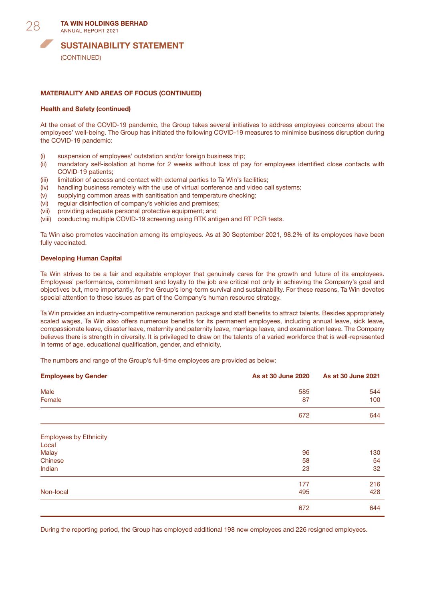

(CONTINUED)

## MATERIALITY AND AREAS OF FOCUS (CONTINUED)

#### **Health and Safety (continued)**

At the onset of the COVID-19 pandemic, the Group takes several initiatives to address employees concerns about the employees' well-being. The Group has initiated the following COVID-19 measures to minimise business disruption during the COVID-19 pandemic:

- (i) suspension of employees' outstation and/or foreign business trip;
- (ii) mandatory self-isolation at home for 2 weeks without loss of pay for employees identified close contacts with COVID-19 patients;
- (iii) limitation of access and contact with external parties to Ta Win's facilities;
- (iv) handling business remotely with the use of virtual conference and video call systems;
- (v) supplying common areas with sanitisation and temperature checking;
- (vi) regular disinfection of company's vehicles and premises;
- (vii) providing adequate personal protective equipment; and
- (viii) conducting multiple COVID-19 screening using RTK antigen and RT PCR tests.

Ta Win also promotes vaccination among its employees. As at 30 September 2021, 98.2% of its employees have been fully vaccinated.

#### Developing Human Capital

Ta Win strives to be a fair and equitable employer that genuinely cares for the growth and future of its employees. Employees' performance, commitment and loyalty to the job are critical not only in achieving the Company's goal and objectives but, more importantly, for the Group's long-term survival and sustainability. For these reasons, Ta Win devotes special attention to these issues as part of the Company's human resource strategy.

Ta Win provides an industry-competitive remuneration package and staff benefits to attract talents. Besides appropriately scaled wages, Ta Win also offers numerous benefits for its permanent employees, including annual leave, sick leave, compassionate leave, disaster leave, maternity and paternity leave, marriage leave, and examination leave. The Company believes there is strength in diversity. It is privileged to draw on the talents of a varied workforce that is well-represented in terms of age, educational qualification, gender, and ethnicity.

The numbers and range of the Group's full-time employees are provided as below:

| <b>Employees by Gender</b>             | As at 30 June 2020 | As at 30 June 2021 |
|----------------------------------------|--------------------|--------------------|
| Male                                   | 585                | 544                |
| Female                                 | 87                 | 100                |
|                                        | 672                | 644                |
| <b>Employees by Ethnicity</b><br>Local |                    |                    |
| <b>Malay</b>                           | 96                 | 130                |
| Chinese                                | 58                 | 54                 |
| Indian                                 | 23                 | 32                 |
|                                        | 177                | 216                |
| Non-local                              | 495                | 428                |
|                                        | 672                | 644                |

During the reporting period, the Group has employed additional 198 new employees and 226 resigned employees.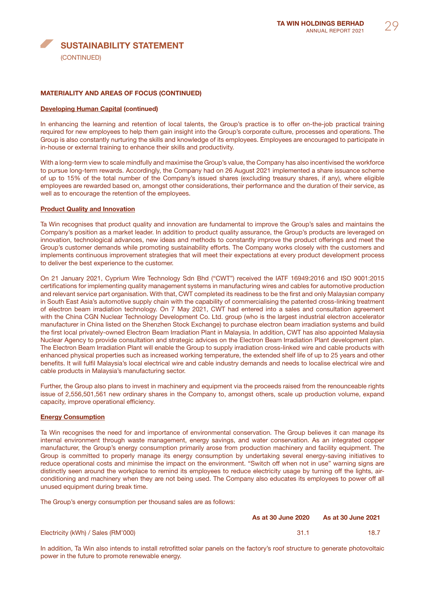# SUSTAINABILITY STATEMENT (CONTINUED)

## MATERIALITY AND AREAS OF FOCUS (CONTINUED)

#### Developing Human Capital (continued)

In enhancing the learning and retention of local talents, the Group's practice is to offer on-the-job practical training required for new employees to help them gain insight into the Group's corporate culture, processes and operations. The Group is also constantly nurturing the skills and knowledge of its employees. Employees are encouraged to participate in in-house or external training to enhance their skills and productivity.

With a long-term view to scale mindfully and maximise the Group's value, the Company has also incentivised the workforce to pursue long-term rewards. Accordingly, the Company had on 26 August 2021 implemented a share issuance scheme of up to 15% of the total number of the Company's issued shares (excluding treasury shares, if any), where eligible employees are rewarded based on, amongst other considerations, their performance and the duration of their service, as well as to encourage the retention of the employees.

#### Product Quality and Innovation

Ta Win recognises that product quality and innovation are fundamental to improve the Group's sales and maintains the Company's position as a market leader. In addition to product quality assurance, the Group's products are leveraged on innovation, technological advances, new ideas and methods to constantly improve the product offerings and meet the Group's customer demands while promoting sustainability efforts. The Company works closely with the customers and implements continuous improvement strategies that will meet their expectations at every product development process to deliver the best experience to the customer.

On 21 January 2021, Cyprium Wire Technology Sdn Bhd ("CWT") received the IATF 16949:2016 and ISO 9001:2015 certifications for implementing quality management systems in manufacturing wires and cables for automotive production and relevant service part organisation. With that, CWT completed its readiness to be the first and only Malaysian company in South East Asia's automotive supply chain with the capability of commercialising the patented cross-linking treatment of electron beam irradiation technology. On 7 May 2021, CWT had entered into a sales and consultation agreement with the China CGN Nuclear Technology Development Co. Ltd. group (who is the largest industrial electron accelerator manufacturer in China listed on the Shenzhen Stock Exchange) to purchase electron beam irradiation systems and build the first local privately-owned Electron Beam Irradiation Plant in Malaysia. In addition, CWT has also appointed Malaysia Nuclear Agency to provide consultation and strategic advices on the Electron Beam Irradiation Plant development plan. The Electron Beam Irradiation Plant will enable the Group to supply irradiation cross-linked wire and cable products with enhanced physical properties such as increased working temperature, the extended shelf life of up to 25 years and other benefits. It will fulfil Malaysia's local electrical wire and cable industry demands and needs to localise electrical wire and cable products in Malaysia's manufacturing sector.

Further, the Group also plans to invest in machinery and equipment via the proceeds raised from the renounceable rights issue of 2,556,501,561 new ordinary shares in the Company to, amongst others, scale up production volume, expand capacity, improve operational efficiency.

# Energy Consumption

Ta Win recognises the need for and importance of environmental conservation. The Group believes it can manage its internal environment through waste management, energy savings, and water conservation. As an integrated copper manufacturer, the Group's energy consumption primarily arose from production machinery and facility equipment. The Group is committed to properly manage its energy consumption by undertaking several energy-saving initiatives to reduce operational costs and minimise the impact on the environment. "Switch off when not in use" warning signs are distinctly seen around the workplace to remind its employees to reduce electricity usage by turning off the lights, airconditioning and machinery when they are not being used. The Company also educates its employees to power off all unused equipment during break time.

The Group's energy consumption per thousand sales are as follows:

|                                    | <b>As at 30 June 2020</b> | <b>As at 30 June 2021</b> |
|------------------------------------|---------------------------|---------------------------|
| Electricity (kWh) / Sales (RM'000) | $-31.1$                   | 18.7                      |

In addition, Ta Win also intends to install retrofitted solar panels on the factory's roof structure to generate photovoltaic power in the future to promote renewable energy.